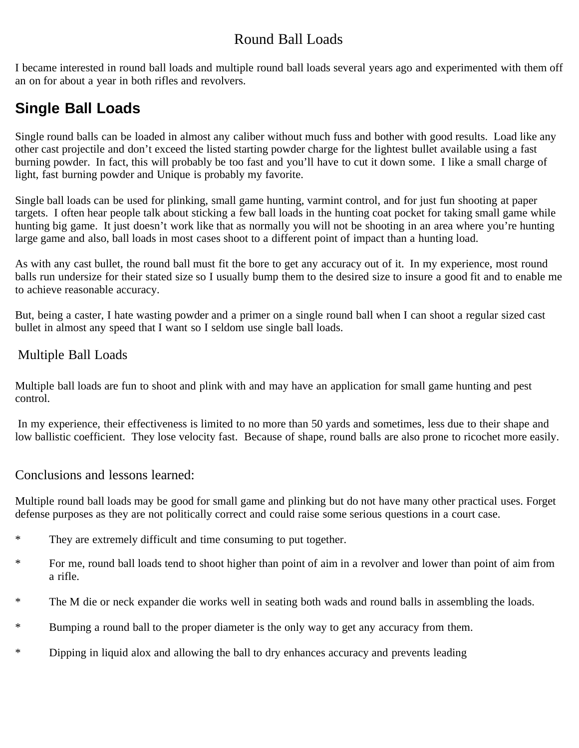### Round Ball Loads

I became interested in round ball loads and multiple round ball loads several years ago and experimented with them off an on for about a year in both rifles and revolvers.

# **Single Ball Loads**

Single round balls can be loaded in almost any caliber without much fuss and bother with good results. Load like any other cast projectile and don't exceed the listed starting powder charge for the lightest bullet available using a fast burning powder. In fact, this will probably be too fast and you'll have to cut it down some. I like a small charge of light, fast burning powder and Unique is probably my favorite.

Single ball loads can be used for plinking, small game hunting, varmint control, and for just fun shooting at paper targets. I often hear people talk about sticking a few ball loads in the hunting coat pocket for taking small game while hunting big game. It just doesn't work like that as normally you will not be shooting in an area where you're hunting large game and also, ball loads in most cases shoot to a different point of impact than a hunting load.

As with any cast bullet, the round ball must fit the bore to get any accuracy out of it. In my experience, most round balls run undersize for their stated size so I usually bump them to the desired size to insure a good fit and to enable me to achieve reasonable accuracy.

But, being a caster, I hate wasting powder and a primer on a single round ball when I can shoot a regular sized cast bullet in almost any speed that I want so I seldom use single ball loads.

### Multiple Ball Loads

Multiple ball loads are fun to shoot and plink with and may have an application for small game hunting and pest control.

In my experience, their effectiveness is limited to no more than 50 yards and sometimes, less due to their shape and low ballistic coefficient. They lose velocity fast. Because of shape, round balls are also prone to ricochet more easily.

#### Conclusions and lessons learned:

Multiple round ball loads may be good for small game and plinking but do not have many other practical uses. Forget defense purposes as they are not politically correct and could raise some serious questions in a court case.

- \* They are extremely difficult and time consuming to put together.
- \* For me, round ball loads tend to shoot higher than point of aim in a revolver and lower than point of aim from a rifle.
- \* The M die or neck expander die works well in seating both wads and round balls in assembling the loads.
- \* Bumping a round ball to the proper diameter is the only way to get any accuracy from them.
- \* Dipping in liquid alox and allowing the ball to dry enhances accuracy and prevents leading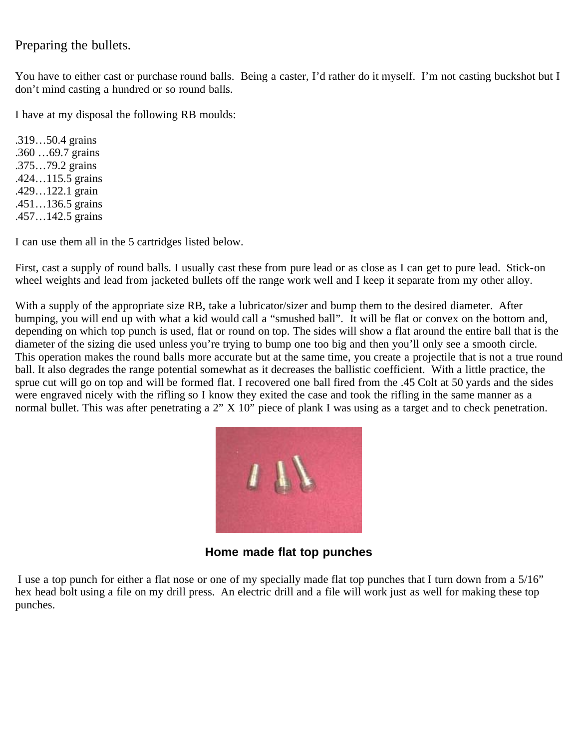#### Preparing the bullets.

You have to either cast or purchase round balls. Being a caster, I'd rather do it myself. I'm not casting buckshot but I don't mind casting a hundred or so round balls.

I have at my disposal the following RB moulds:

.319…50.4 grains .360 …69.7 grains .375…79.2 grains .424…115.5 grains .429…122.1 grain .451…136.5 grains .457…142.5 grains

I can use them all in the 5 cartridges listed below.

First, cast a supply of round balls. I usually cast these from pure lead or as close as I can get to pure lead. Stick-on wheel weights and lead from jacketed bullets off the range work well and I keep it separate from my other alloy.

With a supply of the appropriate size RB, take a lubricator/sizer and bump them to the desired diameter. After bumping, you will end up with what a kid would call a "smushed ball". It will be flat or convex on the bottom and, depending on which top punch is used, flat or round on top. The sides will show a flat around the entire ball that is the diameter of the sizing die used unless you're trying to bump one too big and then you'll only see a smooth circle. This operation makes the round balls more accurate but at the same time, you create a projectile that is not a true round ball. It also degrades the range potential somewhat as it decreases the ballistic coefficient. With a little practice, the sprue cut will go on top and will be formed flat. I recovered one ball fired from the .45 Colt at 50 yards and the sides were engraved nicely with the rifling so I know they exited the case and took the rifling in the same manner as a normal bullet. This was after penetrating a 2" X 10" piece of plank I was using as a target and to check penetration.



**Home made flat top punches**

I use a top punch for either a flat nose or one of my specially made flat top punches that I turn down from a 5/16" hex head bolt using a file on my drill press. An electric drill and a file will work just as well for making these top punches.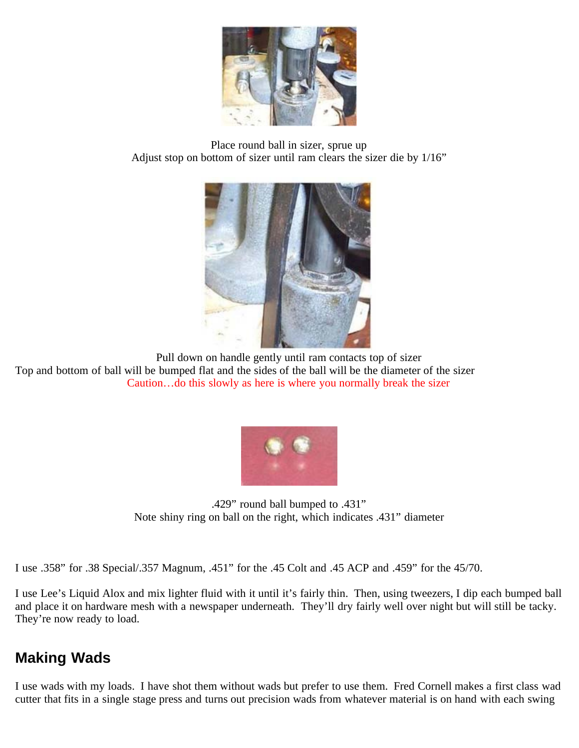

Place round ball in sizer, sprue up Adjust stop on bottom of sizer until ram clears the sizer die by 1/16"



Pull down on handle gently until ram contacts top of sizer

Top and bottom of ball will be bumped flat and the sides of the ball will be the diameter of the sizer Caution…do this slowly as here is where you normally break the sizer



.429" round ball bumped to .431" Note shiny ring on ball on the right, which indicates .431" diameter

I use .358" for .38 Special/.357 Magnum, .451" for the .45 Colt and .45 ACP and .459" for the 45/70.

I use Lee's Liquid Alox and mix lighter fluid with it until it's fairly thin. Then, using tweezers, I dip each bumped ball and place it on hardware mesh with a newspaper underneath. They'll dry fairly well over night but will still be tacky. They're now ready to load.

## **Making Wads**

I use wads with my loads. I have shot them without wads but prefer to use them. Fred Cornell makes a first class wad cutter that fits in a single stage press and turns out precision wads from whatever material is on hand with each swing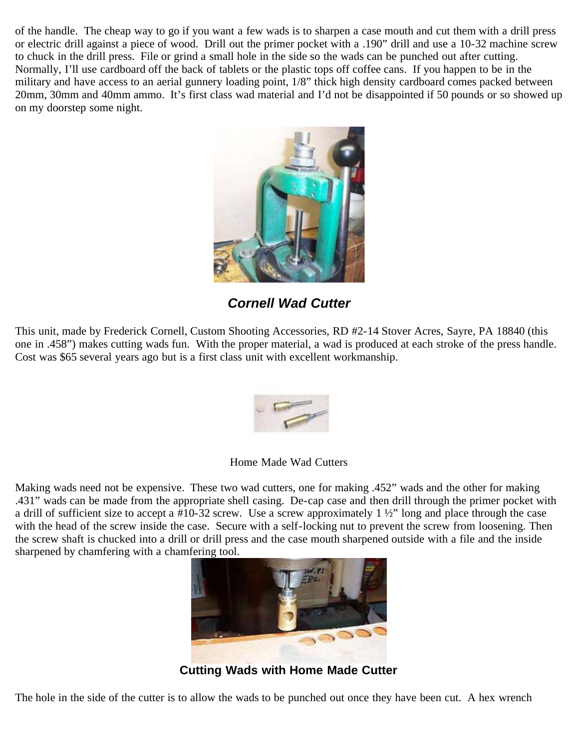of the handle. The cheap way to go if you want a few wads is to sharpen a case mouth and cut them with a drill press or electric drill against a piece of wood. Drill out the primer pocket with a .190" drill and use a 10-32 machine screw to chuck in the drill press. File or grind a small hole in the side so the wads can be punched out after cutting. Normally, I'll use cardboard off the back of tablets or the plastic tops off coffee cans. If you happen to be in the military and have access to an aerial gunnery loading point, 1/8" thick high density cardboard comes packed between 20mm, 30mm and 40mm ammo. It's first class wad material and I'd not be disappointed if 50 pounds or so showed up on my doorstep some night.



*Cornell Wad Cutter*

This unit, made by Frederick Cornell, Custom Shooting Accessories, RD #2-14 Stover Acres, Sayre, PA 18840 (this one in .458") makes cutting wads fun. With the proper material, a wad is produced at each stroke of the press handle. Cost was \$65 several years ago but is a first class unit with excellent workmanship.



Home Made Wad Cutters

Making wads need not be expensive. These two wad cutters, one for making .452" wads and the other for making .431" wads can be made from the appropriate shell casing. De-cap case and then drill through the primer pocket with a drill of sufficient size to accept a #10-32 screw. Use a screw approximately  $1\frac{1}{2}$  long and place through the case with the head of the screw inside the case. Secure with a self-locking nut to prevent the screw from loosening. Then the screw shaft is chucked into a drill or drill press and the case mouth sharpened outside with a file and the inside sharpened by chamfering with a chamfering tool.



**Cutting Wads with Home Made Cutter**

The hole in the side of the cutter is to allow the wads to be punched out once they have been cut. A hex wrench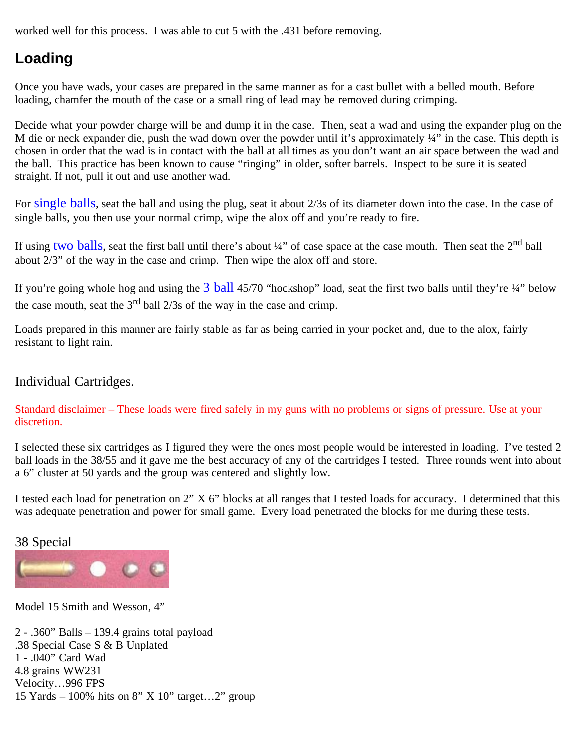worked well for this process. I was able to cut 5 with the .431 before removing.

# **Loading**

Once you have wads, your cases are prepared in the same manner as for a cast bullet with a belled mouth. Before loading, chamfer the mouth of the case or a small ring of lead may be removed during crimping.

Decide what your powder charge will be and dump it in the case. Then, seat a wad and using the expander plug on the M die or neck expander die, push the wad down over the powder until it's approximately  $\frac{1}{4}$ " in the case. This depth is chosen in order that the wad is in contact with the ball at all times as you don't want an air space between the wad and the ball. This practice has been known to cause "ringing" in older, softer barrels. Inspect to be sure it is seated straight. If not, pull it out and use another wad.

For single balls, seat the ball and using the plug, seat it about 2/3s of its diameter down into the case. In the case of single balls, you then use your normal crimp, wipe the alox off and you're ready to fire.

If using two balls, seat the first ball until there's about 1/4" of case space at the case mouth. Then seat the 2<sup>nd</sup> ball about 2/3" of the way in the case and crimp. Then wipe the alox off and store.

If you're going whole hog and using the  $3$  ball 45/70 "hockshop" load, seat the first two balls until they're  $\frac{1}{4}$ " below the case mouth, seat the  $3<sup>rd</sup>$  ball 2/3s of the way in the case and crimp.

Loads prepared in this manner are fairly stable as far as being carried in your pocket and, due to the alox, fairly resistant to light rain.

#### Individual Cartridges.

Standard disclaimer – These loads were fired safely in my guns with no problems or signs of pressure. Use at your discretion.

I selected these six cartridges as I figured they were the ones most people would be interested in loading. I've tested 2 ball loads in the 38/55 and it gave me the best accuracy of any of the cartridges I tested. Three rounds went into about a 6" cluster at 50 yards and the group was centered and slightly low.

I tested each load for penetration on 2" X 6" blocks at all ranges that I tested loads for accuracy. I determined that this was adequate penetration and power for small game. Every load penetrated the blocks for me during these tests.

#### 38 Special



Model 15 Smith and Wesson, 4"

2 - .360" Balls – 139.4 grains total payload .38 Special Case S & B Unplated 1 - .040" Card Wad 4.8 grains WW231 Velocity…996 FPS 15 Yards – 100% hits on 8" X 10" target...2" group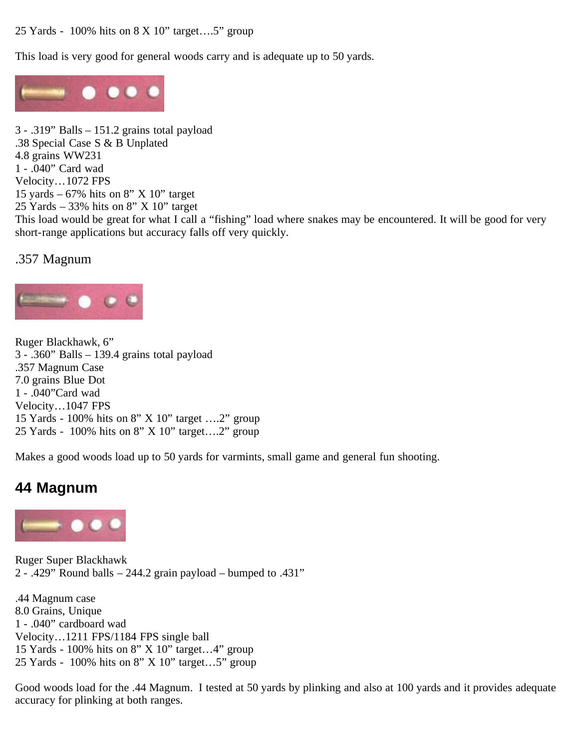25 Yards - 100% hits on 8 X 10" target….5" group

This load is very good for general woods carry and is adequate up to 50 yards.



3 - .319" Balls – 151.2 grains total payload .38 Special Case S & B Unplated 4.8 grains WW231 1 - .040" Card wad Velocity…1072 FPS 15 yards  $-67\%$  hits on 8" X 10" target 25 Yards – 33% hits on 8" X 10" target This load would be great for what I call a "fishing" load where snakes may be encountered. It will be good for very short-range applications but accuracy falls off very quickly.

.357 Magnum



Ruger Blackhawk, 6" 3 - .360" Balls – 139.4 grains total payload .357 Magnum Case 7.0 grains Blue Dot 1 - .040"Card wad Velocity…1047 FPS 15 Yards - 100% hits on 8" X 10" target ….2" group 25 Yards - 100% hits on 8" X 10" target….2" group

Makes a good woods load up to 50 yards for varmints, small game and general fun shooting.

## **44 Magnum**



Ruger Super Blackhawk 2 - .429" Round balls  $-244.2$  grain payload  $-$  bumped to .431"

.44 Magnum case 8.0 Grains, Unique 1 - .040" cardboard wad Velocity…1211 FPS/1184 FPS single ball 15 Yards - 100% hits on 8" X 10" target…4" group 25 Yards - 100% hits on 8" X 10" target…5" group

Good woods load for the .44 Magnum. I tested at 50 yards by plinking and also at 100 yards and it provides adequate accuracy for plinking at both ranges.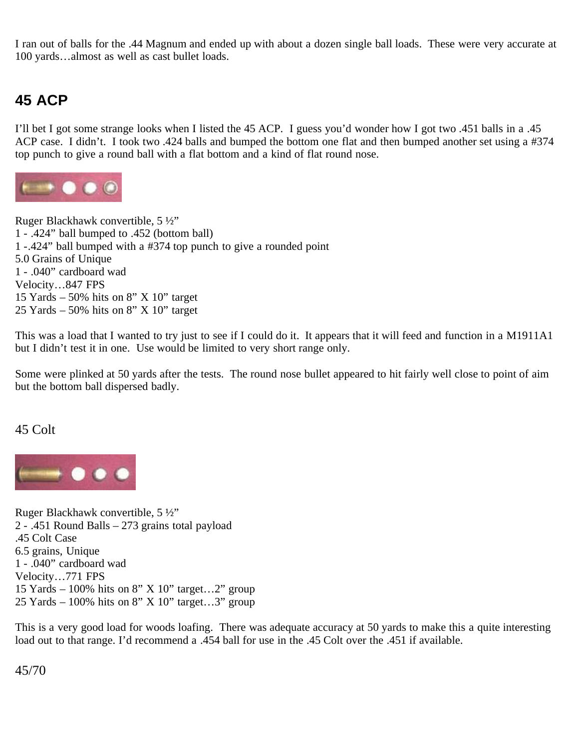I ran out of balls for the .44 Magnum and ended up with about a dozen single ball loads. These were very accurate at 100 yards…almost as well as cast bullet loads.

## **45 ACP**

I'll bet I got some strange looks when I listed the 45 ACP. I guess you'd wonder how I got two .451 balls in a .45 ACP case. I didn't. I took two .424 balls and bumped the bottom one flat and then bumped another set using a #374 top punch to give a round ball with a flat bottom and a kind of flat round nose.



Ruger Blackhawk convertible, 5 ½" 1 - .424" ball bumped to .452 (bottom ball) 1 -.424" ball bumped with a #374 top punch to give a rounded point 5.0 Grains of Unique 1 - .040" cardboard wad Velocity…847 FPS 15 Yards – 50% hits on  $8"$  X 10" target 25 Yards  $-50\%$  hits on 8" X 10" target

This was a load that I wanted to try just to see if I could do it. It appears that it will feed and function in a M1911A1 but I didn't test it in one. Use would be limited to very short range only.

Some were plinked at 50 yards after the tests. The round nose bullet appeared to hit fairly well close to point of aim but the bottom ball dispersed badly.

#### 45 Colt



Ruger Blackhawk convertible, 5 ½" 2 - .451 Round Balls – 273 grains total payload .45 Colt Case 6.5 grains, Unique 1 - .040" cardboard wad Velocity…771 FPS 15 Yards – 100% hits on 8" X 10" target...2" group 25 Yards – 100% hits on 8" X 10" target...3" group

This is a very good load for woods loafing. There was adequate accuracy at 50 yards to make this a quite interesting load out to that range. I'd recommend a .454 ball for use in the .45 Colt over the .451 if available.